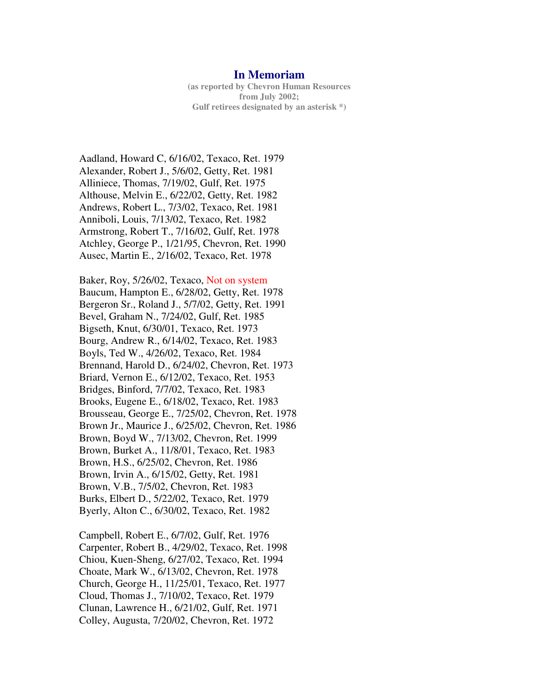## **In Memoriam**

**(as reported by Chevron Human Resources from July 2002; Gulf retirees designated by an asterisk \*)**

Aadland, Howard C, 6/16/02, Texaco, Ret. 1979 Alexander, Robert J., 5/6/02, Getty, Ret. 1981 Alliniece, Thomas, 7/19/02, Gulf, Ret. 1975 Althouse, Melvin E., 6/22/02, Getty, Ret. 1982 Andrews, Robert L., 7/3/02, Texaco, Ret. 1981 Anniboli, Louis, 7/13/02, Texaco, Ret. 1982 Armstrong, Robert T., 7/16/02, Gulf, Ret. 1978 Atchley, George P., 1/21/95, Chevron, Ret. 1990 Ausec, Martin E., 2/16/02, Texaco, Ret. 1978

Baker, Roy, 5/26/02, Texaco, Not on system Baucum, Hampton E., 6/28/02, Getty, Ret. 1978 Bergeron Sr., Roland J., 5/7/02, Getty, Ret. 1991 Bevel, Graham N., 7/24/02, Gulf, Ret. 1985 Bigseth, Knut, 6/30/01, Texaco, Ret. 1973 Bourg, Andrew R., 6/14/02, Texaco, Ret. 1983 Boyls, Ted W., 4/26/02, Texaco, Ret. 1984 Brennand, Harold D., 6/24/02, Chevron, Ret. 1973 Briard, Vernon E., 6/12/02, Texaco, Ret. 1953 Bridges, Binford, 7/7/02, Texaco, Ret. 1983 Brooks, Eugene E., 6/18/02, Texaco, Ret. 1983 Brousseau, George E., 7/25/02, Chevron, Ret. 1978 Brown Jr., Maurice J., 6/25/02, Chevron, Ret. 1986 Brown, Boyd W., 7/13/02, Chevron, Ret. 1999 Brown, Burket A., 11/8/01, Texaco, Ret. 1983 Brown, H.S., 6/25/02, Chevron, Ret. 1986 Brown, Irvin A., 6/15/02, Getty, Ret. 1981 Brown, V.B., 7/5/02, Chevron, Ret. 1983 Burks, Elbert D., 5/22/02, Texaco, Ret. 1979 Byerly, Alton C., 6/30/02, Texaco, Ret. 1982

Campbell, Robert E., 6/7/02, Gulf, Ret. 1976 Carpenter, Robert B., 4/29/02, Texaco, Ret. 1998 Chiou, Kuen-Sheng, 6/27/02, Texaco, Ret. 1994 Choate, Mark W., 6/13/02, Chevron, Ret. 1978 Church, George H., 11/25/01, Texaco, Ret. 1977 Cloud, Thomas J., 7/10/02, Texaco, Ret. 1979 Clunan, Lawrence H., 6/21/02, Gulf, Ret. 1971 Colley, Augusta, 7/20/02, Chevron, Ret. 1972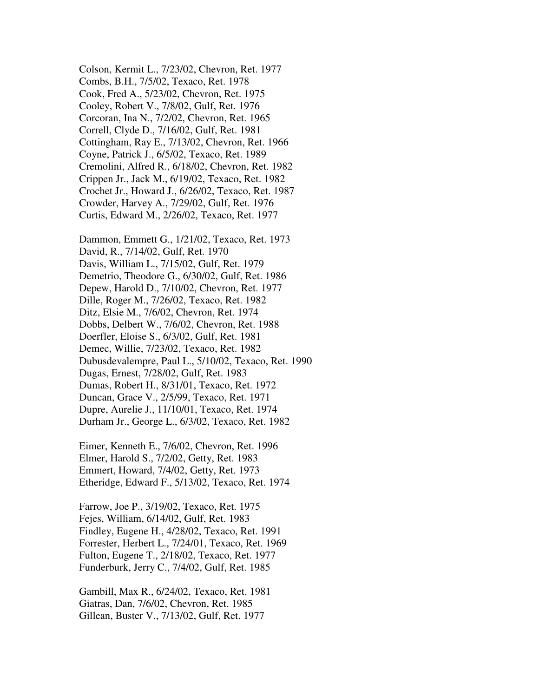Colson, Kermit L., 7/23/02, Chevron, Ret. 1977 Combs, B.H., 7/5/02, Texaco, Ret. 1978 Cook, Fred A., 5/23/02, Chevron, Ret. 1975 Cooley, Robert V., 7/8/02, Gulf, Ret. 1976 Corcoran, Ina N., 7/2/02, Chevron, Ret. 1965 Correll, Clyde D., 7/16/02, Gulf, Ret. 1981 Cottingham, Ray E., 7/13/02, Chevron, Ret. 1966 Coyne, Patrick J., 6/5/02, Texaco, Ret. 1989 Cremolini, Alfred R., 6/18/02, Chevron, Ret. 1982 Crippen Jr., Jack M., 6/19/02, Texaco, Ret. 1982 Crochet Jr., Howard J., 6/26/02, Texaco, Ret. 1987 Crowder, Harvey A., 7/29/02, Gulf, Ret. 1976 Curtis, Edward M., 2/26/02, Texaco, Ret. 1977

Dammon, Emmett G., 1/21/02, Texaco, Ret. 1973 David, R., 7/14/02, Gulf, Ret. 1970 Davis, William L., 7/15/02, Gulf, Ret. 1979 Demetrio, Theodore G., 6/30/02, Gulf, Ret. 1986 Depew, Harold D., 7/10/02, Chevron, Ret. 1977 Dille, Roger M., 7/26/02, Texaco, Ret. 1982 Ditz, Elsie M., 7/6/02, Chevron, Ret. 1974 Dobbs, Delbert W., 7/6/02, Chevron, Ret. 1988 Doerfler, Eloise S., 6/3/02, Gulf, Ret. 1981 Demec, Willie, 7/23/02, Texaco, Ret. 1982 Dubusdevalempre, Paul L., 5/10/02, Texaco, Ret. 1990 Dugas, Ernest, 7/28/02, Gulf, Ret. 1983 Dumas, Robert H., 8/31/01, Texaco, Ret. 1972 Duncan, Grace V., 2/5/99, Texaco, Ret. 1971 Dupre, Aurelie J., 11/10/01, Texaco, Ret. 1974 Durham Jr., George L., 6/3/02, Texaco, Ret. 1982

Eimer, Kenneth E., 7/6/02, Chevron, Ret. 1996 Elmer, Harold S., 7/2/02, Getty, Ret. 1983 Emmert, Howard, 7/4/02, Getty, Ret. 1973 Etheridge, Edward F., 5/13/02, Texaco, Ret. 1974

Farrow, Joe P., 3/19/02, Texaco, Ret. 1975 Fejes, William, 6/14/02, Gulf, Ret. 1983 Findley, Eugene H., 4/28/02, Texaco, Ret. 1991 Forrester, Herbert L., 7/24/01, Texaco, Ret. 1969 Fulton, Eugene T., 2/18/02, Texaco, Ret. 1977 Funderburk, Jerry C., 7/4/02, Gulf, Ret. 1985

Gambill, Max R., 6/24/02, Texaco, Ret. 1981 Giatras, Dan, 7/6/02, Chevron, Ret. 1985 Gillean, Buster V., 7/13/02, Gulf, Ret. 1977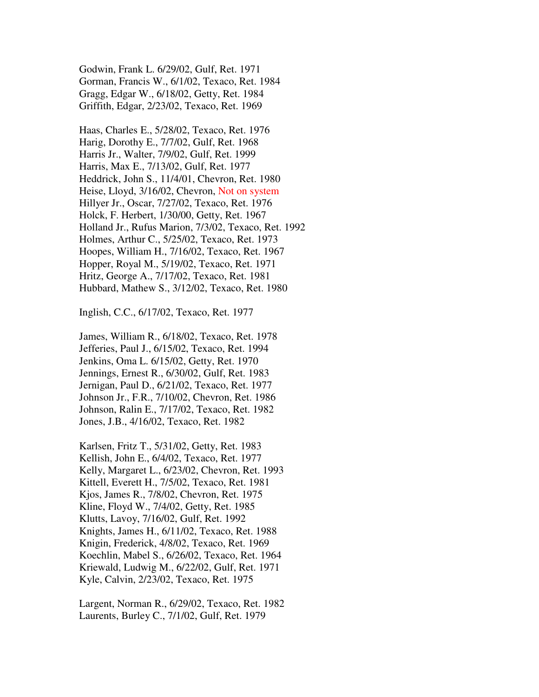Godwin, Frank L. 6/29/02, Gulf, Ret. 1971 Gorman, Francis W., 6/1/02, Texaco, Ret. 1984 Gragg, Edgar W., 6/18/02, Getty, Ret. 1984 Griffith, Edgar, 2/23/02, Texaco, Ret. 1969

Haas, Charles E., 5/28/02, Texaco, Ret. 1976 Harig, Dorothy E., 7/7/02, Gulf, Ret. 1968 Harris Jr., Walter, 7/9/02, Gulf, Ret. 1999 Harris, Max E., 7/13/02, Gulf, Ret. 1977 Heddrick, John S., 11/4/01, Chevron, Ret. 1980 Heise, Lloyd, 3/16/02, Chevron, Not on system Hillyer Jr., Oscar, 7/27/02, Texaco, Ret. 1976 Holck, F. Herbert, 1/30/00, Getty, Ret. 1967 Holland Jr., Rufus Marion, 7/3/02, Texaco, Ret. 1992 Holmes, Arthur C., 5/25/02, Texaco, Ret. 1973 Hoopes, William H., 7/16/02, Texaco, Ret. 1967 Hopper, Royal M., 5/19/02, Texaco, Ret. 1971 Hritz, George A., 7/17/02, Texaco, Ret. 1981 Hubbard, Mathew S., 3/12/02, Texaco, Ret. 1980

Inglish, C.C., 6/17/02, Texaco, Ret. 1977

James, William R., 6/18/02, Texaco, Ret. 1978 Jefferies, Paul J., 6/15/02, Texaco, Ret. 1994 Jenkins, Oma L. 6/15/02, Getty, Ret. 1970 Jennings, Ernest R., 6/30/02, Gulf, Ret. 1983 Jernigan, Paul D., 6/21/02, Texaco, Ret. 1977 Johnson Jr., F.R., 7/10/02, Chevron, Ret. 1986 Johnson, Ralin E., 7/17/02, Texaco, Ret. 1982 Jones, J.B., 4/16/02, Texaco, Ret. 1982

Karlsen, Fritz T., 5/31/02, Getty, Ret. 1983 Kellish, John E., 6/4/02, Texaco, Ret. 1977 Kelly, Margaret L., 6/23/02, Chevron, Ret. 1993 Kittell, Everett H., 7/5/02, Texaco, Ret. 1981 Kjos, James R., 7/8/02, Chevron, Ret. 1975 Kline, Floyd W., 7/4/02, Getty, Ret. 1985 Klutts, Lavoy, 7/16/02, Gulf, Ret. 1992 Knights, James H., 6/11/02, Texaco, Ret. 1988 Knigin, Frederick, 4/8/02, Texaco, Ret. 1969 Koechlin, Mabel S., 6/26/02, Texaco, Ret. 1964 Kriewald, Ludwig M., 6/22/02, Gulf, Ret. 1971 Kyle, Calvin, 2/23/02, Texaco, Ret. 1975

Largent, Norman R., 6/29/02, Texaco, Ret. 1982 Laurents, Burley C., 7/1/02, Gulf, Ret. 1979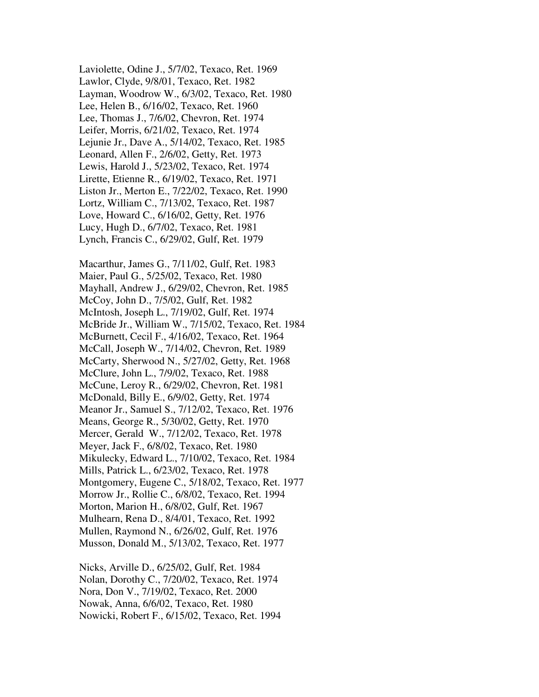Laviolette, Odine J., 5/7/02, Texaco, Ret. 1969 Lawlor, Clyde, 9/8/01, Texaco, Ret. 1982 Layman, Woodrow W., 6/3/02, Texaco, Ret. 1980 Lee, Helen B., 6/16/02, Texaco, Ret. 1960 Lee, Thomas J., 7/6/02, Chevron, Ret. 1974 Leifer, Morris, 6/21/02, Texaco, Ret. 1974 Lejunie Jr., Dave A., 5/14/02, Texaco, Ret. 1985 Leonard, Allen F., 2/6/02, Getty, Ret. 1973 Lewis, Harold J., 5/23/02, Texaco, Ret. 1974 Lirette, Etienne R., 6/19/02, Texaco, Ret. 1971 Liston Jr., Merton E., 7/22/02, Texaco, Ret. 1990 Lortz, William C., 7/13/02, Texaco, Ret. 1987 Love, Howard C., 6/16/02, Getty, Ret. 1976 Lucy, Hugh D., 6/7/02, Texaco, Ret. 1981 Lynch, Francis C., 6/29/02, Gulf, Ret. 1979

Macarthur, James G., 7/11/02, Gulf, Ret. 1983 Maier, Paul G., 5/25/02, Texaco, Ret. 1980 Mayhall, Andrew J., 6/29/02, Chevron, Ret. 1985 McCoy, John D., 7/5/02, Gulf, Ret. 1982 McIntosh, Joseph L., 7/19/02, Gulf, Ret. 1974 McBride Jr., William W., 7/15/02, Texaco, Ret. 1984 McBurnett, Cecil F., 4/16/02, Texaco, Ret. 1964 McCall, Joseph W., 7/14/02, Chevron, Ret. 1989 McCarty, Sherwood N., 5/27/02, Getty, Ret. 1968 McClure, John L., 7/9/02, Texaco, Ret. 1988 McCune, Leroy R., 6/29/02, Chevron, Ret. 1981 McDonald, Billy E., 6/9/02, Getty, Ret. 1974 Meanor Jr., Samuel S., 7/12/02, Texaco, Ret. 1976 Means, George R., 5/30/02, Getty, Ret. 1970 Mercer, Gerald W., 7/12/02, Texaco, Ret. 1978 Meyer, Jack F., 6/8/02, Texaco, Ret. 1980 Mikulecky, Edward L., 7/10/02, Texaco, Ret. 1984 Mills, Patrick L., 6/23/02, Texaco, Ret. 1978 Montgomery, Eugene C., 5/18/02, Texaco, Ret. 1977 Morrow Jr., Rollie C., 6/8/02, Texaco, Ret. 1994 Morton, Marion H., 6/8/02, Gulf, Ret. 1967 Mulhearn, Rena D., 8/4/01, Texaco, Ret. 1992 Mullen, Raymond N., 6/26/02, Gulf, Ret. 1976 Musson, Donald M., 5/13/02, Texaco, Ret. 1977

Nicks, Arville D., 6/25/02, Gulf, Ret. 1984 Nolan, Dorothy C., 7/20/02, Texaco, Ret. 1974 Nora, Don V., 7/19/02, Texaco, Ret. 2000 Nowak, Anna, 6/6/02, Texaco, Ret. 1980 Nowicki, Robert F., 6/15/02, Texaco, Ret. 1994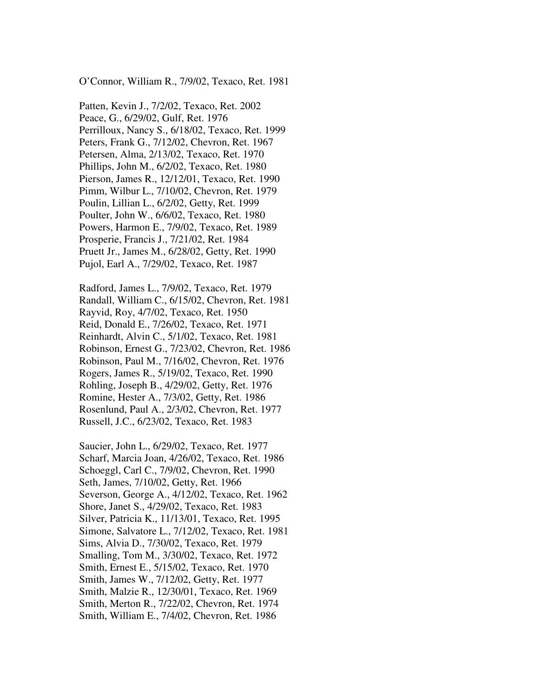O'Connor, William R., 7/9/02, Texaco, Ret. 1981

Patten, Kevin J., 7/2/02, Texaco, Ret. 2002 Peace, G., 6/29/02, Gulf, Ret. 1976 Perrilloux, Nancy S., 6/18/02, Texaco, Ret. 1999 Peters, Frank G., 7/12/02, Chevron, Ret. 1967 Petersen, Alma, 2/13/02, Texaco, Ret. 1970 Phillips, John M., 6/2/02, Texaco, Ret. 1980 Pierson, James R., 12/12/01, Texaco, Ret. 1990 Pimm, Wilbur L., 7/10/02, Chevron, Ret. 1979 Poulin, Lillian L., 6/2/02, Getty, Ret. 1999 Poulter, John W., 6/6/02, Texaco, Ret. 1980 Powers, Harmon E., 7/9/02, Texaco, Ret. 1989 Prosperie, Francis J., 7/21/02, Ret. 1984 Pruett Jr., James M., 6/28/02, Getty, Ret. 1990 Pujol, Earl A., 7/29/02, Texaco, Ret. 1987

Radford, James L., 7/9/02, Texaco, Ret. 1979 Randall, William C., 6/15/02, Chevron, Ret. 1981 Rayvid, Roy, 4/7/02, Texaco, Ret. 1950 Reid, Donald E., 7/26/02, Texaco, Ret. 1971 Reinhardt, Alvin C., 5/1/02, Texaco, Ret. 1981 Robinson, Ernest G., 7/23/02, Chevron, Ret. 1986 Robinson, Paul M., 7/16/02, Chevron, Ret. 1976 Rogers, James R., 5/19/02, Texaco, Ret. 1990 Rohling, Joseph B., 4/29/02, Getty, Ret. 1976 Romine, Hester A., 7/3/02, Getty, Ret. 1986 Rosenlund, Paul A., 2/3/02, Chevron, Ret. 1977 Russell, J.C., 6/23/02, Texaco, Ret. 1983

Saucier, John L., 6/29/02, Texaco, Ret. 1977 Scharf, Marcia Joan, 4/26/02, Texaco, Ret. 1986 Schoeggl, Carl C., 7/9/02, Chevron, Ret. 1990 Seth, James, 7/10/02, Getty, Ret. 1966 Severson, George A., 4/12/02, Texaco, Ret. 1962 Shore, Janet S., 4/29/02, Texaco, Ret. 1983 Silver, Patricia K., 11/13/01, Texaco, Ret. 1995 Simone, Salvatore L., 7/12/02, Texaco, Ret. 1981 Sims, Alvia D., 7/30/02, Texaco, Ret. 1979 Smalling, Tom M., 3/30/02, Texaco, Ret. 1972 Smith, Ernest E., 5/15/02, Texaco, Ret. 1970 Smith, James W., 7/12/02, Getty, Ret. 1977 Smith, Malzie R., 12/30/01, Texaco, Ret. 1969 Smith, Merton R., 7/22/02, Chevron, Ret. 1974 Smith, William E., 7/4/02, Chevron, Ret. 1986